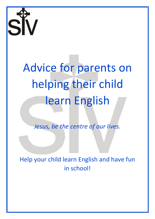

# Advice for parents on helping their child learn English

*Jesus, be the centre of our lives.*

Help your child learn English and have fun in school!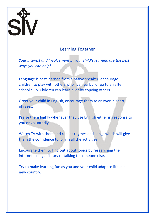

### Learning Together

*Your interest and Involvement in your child's learning are the best ways you can help!*

Language is best learned from a native speaker, encourage children to play with others who live nearby, or go to an after school club. Children can learn a lot by copying others.

Greet your child in English, encourage them to answer in short phrases.

Praise them highly whenever they use English either in response to you or voluntarily.

Watch TV with them and repeat rhymes and songs which will give them the confidence to join in all the activities.

Encourage them to find out about topics by researching the internet, using a library or talking to someone else.

Try to make learning fun as you and your child adapt to life in a new country.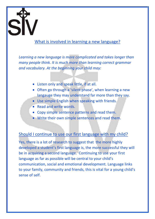

#### What is involved in learning a new language?

*Learning a new language is more complicated and takes longer than many people think. It is much more than learning correct grammar and vocabulary. At the beginning your child may:*

- Listen only and speak little, if at all.
- Often go through a 'silent phase', when learning a new langauge they may understand far more than they say.
- Use simple English when speaking with friends.
- Read and write words.
- Copy simple sentence patterns and read them.
- Write their own simple sentences and read them.

#### Should I continue to use our first language with my child?

Yes, there is a lot of research to suggest that the more highly developed a student's first language is, the more successful they will be in acquiring a second language. Continuing to use your first language as far as possible will be central to your child's communication, social and emotional development. Language links to your family, community and friends, this is vital for a young child's sense of self.